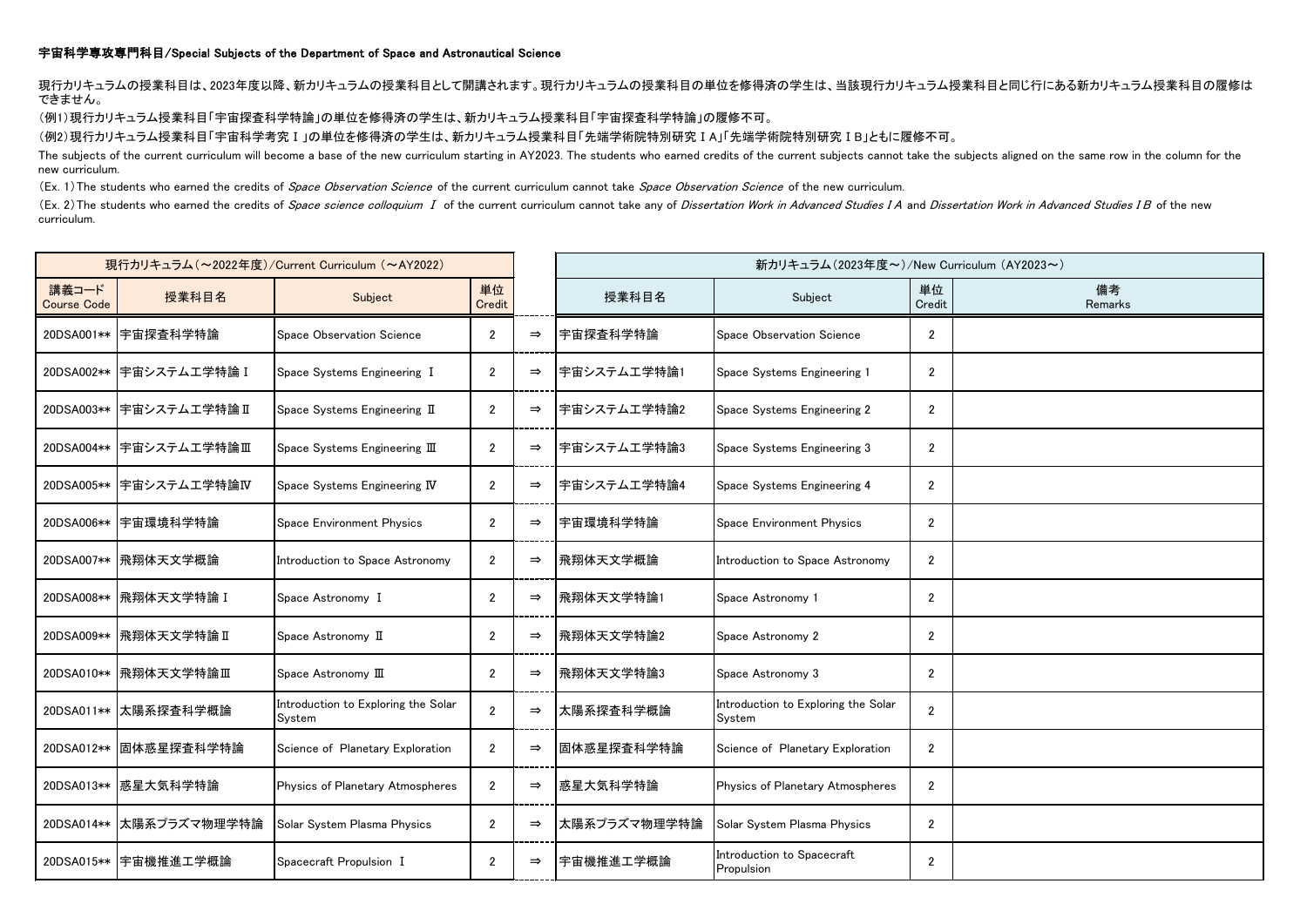## 宇宙科学専攻専門科目/Special Subjects of the Department of Space and Astronautical Science

現行カリキュラムの授業科目は、2023年度以降、新カリキュラムの授業科目として開講されます。現行カリキュラムの授業科目の単位を修得済の学生は、当該現行カリキュラム授業科目と同じ行にある新カリキュラム授業科目の履修は できません。

(例1)現行カリキュラム授業科目「宇宙探査科学特論」の単位を修得済の学生は、新カリキュラム授業科目「宇宙探査科学特論」の履修不可。

(例2)現行カリキュラム授業科目「宇宙科学考究Ⅰ」の単位を修得済の学生は、新カリキュラム授業科目「先端学術院特別研究ⅠA」「先端学術院特別研究ⅠB」ともに履修不可。

The subjects of the current curriculum will become a base of the new curriculum starting in AY2023. The students who earned credits of the current subjects cannot take the subjects aligned on the same row in the column for new curriculum.

(Ex. 1) The students who earned the credits of Space Observation Science of the current curriculum cannot take Space Observation Science of the new curriculum.

(Ex. 2)The students who earned the credits of Space science colloquium I of the current curriculum cannot take any of Dissertation Work in Advanced Studies I A and Dissertation Work in Advanced Studies I B of the new curriculum.

| 現行カリキュラム (~2022年度)/Current Curriculum (~AY2022) |                          |                                               |                |               | 新カリキュラム(2023年度~)/New Curriculum (AY2023~) |                                               |                |               |
|-------------------------------------------------|--------------------------|-----------------------------------------------|----------------|---------------|-------------------------------------------|-----------------------------------------------|----------------|---------------|
| 講義コード<br><b>Course Code</b>                     | 授業科目名                    | Subject                                       | 単位<br>Credit   |               | 授業科目名                                     | Subject                                       | 単位<br>Credit   | 備考<br>Remarks |
|                                                 | 20DSA001** 宇宙探査科学特論      | Space Observation Science                     | $\overline{2}$ | $\Rightarrow$ | 宇宙探査科学特論                                  | Space Observation Science                     | $\overline{2}$ |               |
|                                                 | 20DSA002** 宇宙システム工学特論 I  | Space Systems Engineering I                   | 2              | $\Rightarrow$ | 宇宙システム工学特論1                               | Space Systems Engineering 1                   | $\overline{2}$ |               |
|                                                 | 20DSA003** 宇宙システム工学特論 II | Space Systems Engineering II                  | $\overline{2}$ | $\Rightarrow$ | 宇宙システム工学特論2                               | Space Systems Engineering 2                   | $\overline{2}$ |               |
|                                                 | 20DSA004** 宇宙システム工学特論Ⅲ   | Space Systems Engineering III                 | $\overline{2}$ | $\Rightarrow$ | 宇宙システム工学特論3                               | Space Systems Engineering 3                   | $\overline{2}$ |               |
|                                                 | 20DSA005** 宇宙システム工学特論IV  | Space Systems Engineering IV                  | $\overline{2}$ | $\Rightarrow$ | 宇宙システム工学特論4                               | Space Systems Engineering 4                   | $\overline{2}$ |               |
|                                                 | 20DSA006** 宇宙環境科学特論      | Space Environment Physics                     | $\overline{2}$ | $\Rightarrow$ | 宇宙環境科学特論                                  | Space Environment Physics                     | $\overline{2}$ |               |
|                                                 | 20DSA007** 飛翔体天文学概論      | Introduction to Space Astronomy               | $\overline{2}$ | $\Rightarrow$ | 飛翔体天文学概論                                  | Introduction to Space Astronomy               | $\overline{2}$ |               |
|                                                 | 20DSA008** 飛翔体天文学特論 I    | Space Astronomy I                             | $\overline{2}$ | $\Rightarrow$ | 飛翔体天文学特論1                                 | Space Astronomy 1                             | $\overline{2}$ |               |
|                                                 | 20DSA009** 飛翔体天文学特論 II   | Space Astronomy II                            | $\overline{2}$ | $\Rightarrow$ | 飛翔体天文学特論2                                 | Space Astronomy 2                             | $\overline{2}$ |               |
|                                                 | 20DSA010** 飛翔体天文学特論Ⅲ     | Space Astronomy III                           | $\overline{2}$ | $\Rightarrow$ | 飛翔体天文学特論3                                 | Space Astronomy 3                             | $\overline{2}$ |               |
|                                                 | 20DSA011** 太陽系探査科学概論     | Introduction to Exploring the Solar<br>System | $\overline{2}$ | $\Rightarrow$ | 太陽系探査科学概論                                 | Introduction to Exploring the Solar<br>System | $\overline{2}$ |               |
|                                                 | 20DSA012** 固体惑星探査科学特論    | Science of Planetary Exploration              | $\overline{2}$ | $\Rightarrow$ | 固体惑星探査科学特論                                | Science of Planetary Exploration              | $\overline{2}$ |               |
|                                                 | 20DSA013** 感星大気科学特論      | Physics of Planetary Atmospheres              | $\mathfrak{p}$ | $\Rightarrow$ | 惑星大気科学特論                                  | Physics of Planetary Atmospheres              | $\overline{2}$ |               |
|                                                 | 20DSA014** 太陽系プラズマ物理学特論  | Solar System Plasma Physics                   | 2              | $\Rightarrow$ | 太陽系プラズマ物理学特論                              | Solar System Plasma Physics                   | $\overline{2}$ |               |
|                                                 | 20DSA015** 宇宙機推進工学概論     | Spacecraft Propulsion I                       | $\overline{2}$ | $\Rightarrow$ | 宇宙機推進工学概論                                 | Introduction to Spacecraft<br>Propulsion      | $\overline{2}$ |               |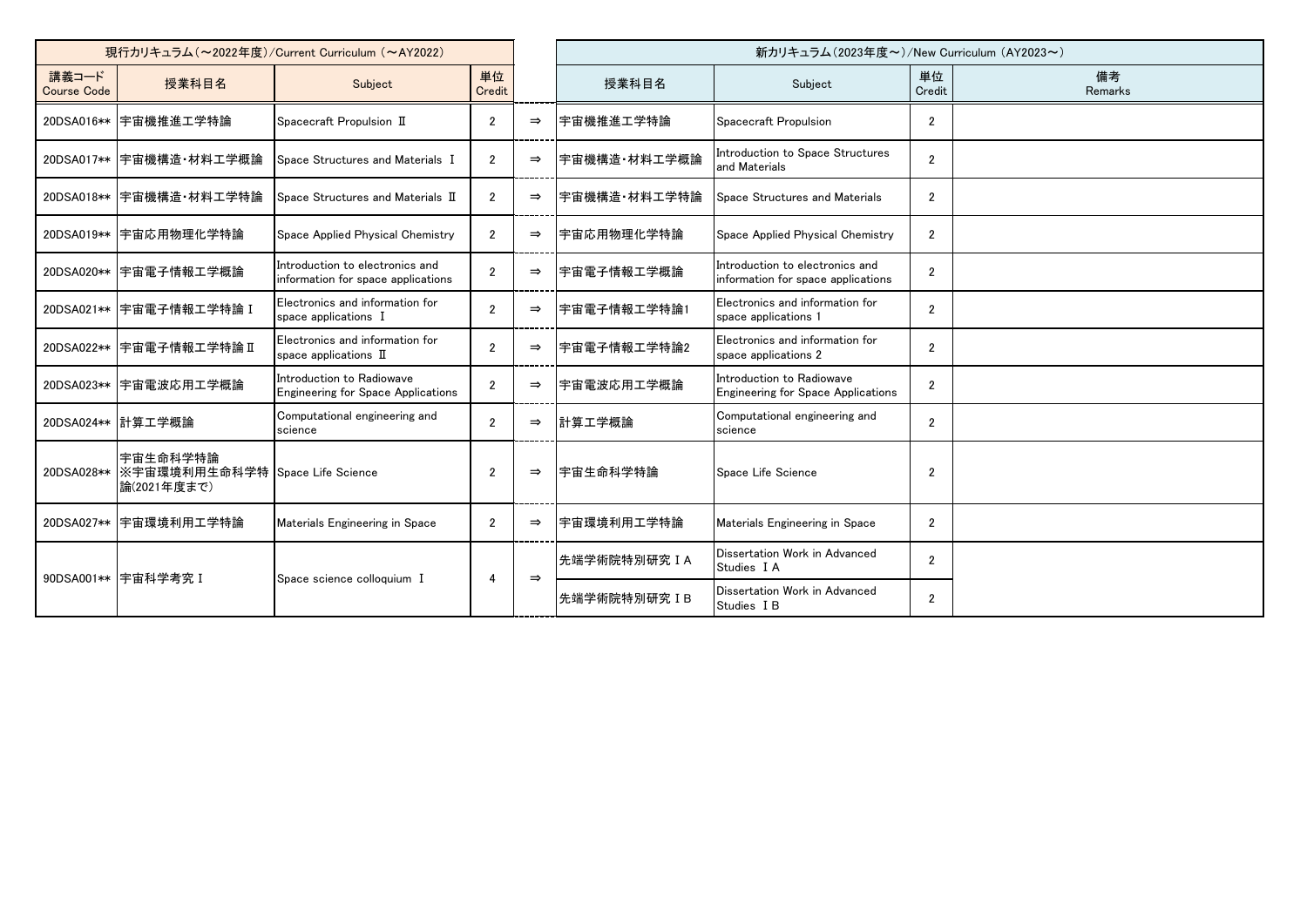| 現行カリキュラム (~2022年度)/Current Curriculum (~AY2022) |                                                                        |                                                                        |                |               | 新カリキュラム(2023年度~)/New Curriculum (AY2023~) |                                                                        |                |               |
|-------------------------------------------------|------------------------------------------------------------------------|------------------------------------------------------------------------|----------------|---------------|-------------------------------------------|------------------------------------------------------------------------|----------------|---------------|
| 講義コード<br><b>Course Code</b>                     | 授業科目名                                                                  | Subject                                                                | 単位<br>Credit   |               | 授業科目名                                     | Subject                                                                | 単位<br>Credit   | 備考<br>Remarks |
| 20DSA016**                                      | 宇宙機推進工学特論                                                              | Spacecraft Propulsion II                                               | $\overline{2}$ | $\Rightarrow$ | 宇宙機推進工学特論                                 | Spacecraft Propulsion                                                  | $\overline{2}$ |               |
|                                                 | 20DSA017** 宇宙機構造·材料工学概論                                                | Space Structures and Materials I                                       | $\overline{2}$ | $\Rightarrow$ | 宇宙機構造・材料工学概論                              | Introduction to Space Structures<br>and Materials                      | $\overline{2}$ |               |
|                                                 | 20DSA018** 宇宙機構造·材料工学特論                                                | Space Structures and Materials II                                      | $\mathfrak{p}$ | $\Rightarrow$ | 宇宙機構造・材料工学特論                              | Space Structures and Materials                                         | $\overline{2}$ |               |
|                                                 | 20DSA019**  宇宙応用物理化学特論                                                 | Space Applied Physical Chemistry                                       | $\overline{2}$ | $\Rightarrow$ | 宇宙応用物理化学特論                                | Space Applied Physical Chemistry                                       | $\overline{2}$ |               |
|                                                 | 20DSA020** 宇宙電子情報工学概論                                                  | Introduction to electronics and<br>information for space applications  | $\mathfrak{p}$ | $\Rightarrow$ | 宇宙電子情報工学概論                                | Introduction to electronics and<br>information for space applications  | $\mathbf{2}$   |               |
|                                                 | 20DSA021**  宇宙電子情報工学特論 I                                               | Electronics and information for<br>space applications I                | $\overline{2}$ | $\Rightarrow$ | 宇宙電子情報工学特論1                               | Electronics and information for<br>space applications 1                | $\overline{2}$ |               |
|                                                 | 20DSA022** 宇宙電子情報工学特論 II                                               | Electronics and information for<br>space applications $\mathbb I$      | $\mathfrak{p}$ | $\Rightarrow$ | 宇宙電子情報工学特論2                               | Electronics and information for<br>space applications 2                | $\overline{2}$ |               |
|                                                 | 20DSA023** 宇宙電波応用工学概論                                                  | Introduction to Radiowave<br><b>Engineering for Space Applications</b> | $\overline{2}$ | $\Rightarrow$ | 宇宙電波応用工学概論                                | Introduction to Radiowave<br><b>Engineering for Space Applications</b> | $\mathbf{2}$   |               |
|                                                 | 20DSA024** 計算工学概論                                                      | Computational engineering and<br>science                               | $\overline{2}$ | $\Rightarrow$ | 計算工学概論                                    | Computational engineering and<br>science                               | $\overline{2}$ |               |
|                                                 | 宇宙生命科学特論<br>20DSA028**  ※宇宙環境利用生命科学特 Space Life Science<br>論(2021年度まで) |                                                                        | $\overline{2}$ | $\Rightarrow$ | 宇宙生命科学特論                                  | Space Life Science                                                     | $\overline{2}$ |               |
|                                                 | 20DSA027** 宇宙環境利用工学特論                                                  | Materials Engineering in Space                                         | $\overline{2}$ | $\Rightarrow$ | 宇宙環境利用工学特論                                | Materials Engineering in Space                                         | $\overline{2}$ |               |
|                                                 | 90DSA001** 宇宙科学考究 I                                                    | Space science colloquium I                                             | $\overline{4}$ | $\Rightarrow$ | 先端学術院特別研究IA                               | Dissertation Work in Advanced<br>Studies I A                           | $\overline{2}$ |               |
|                                                 |                                                                        |                                                                        |                |               | 先端学術院特別研究 IB                              | Dissertation Work in Advanced<br>Studies I B                           | $\overline{2}$ |               |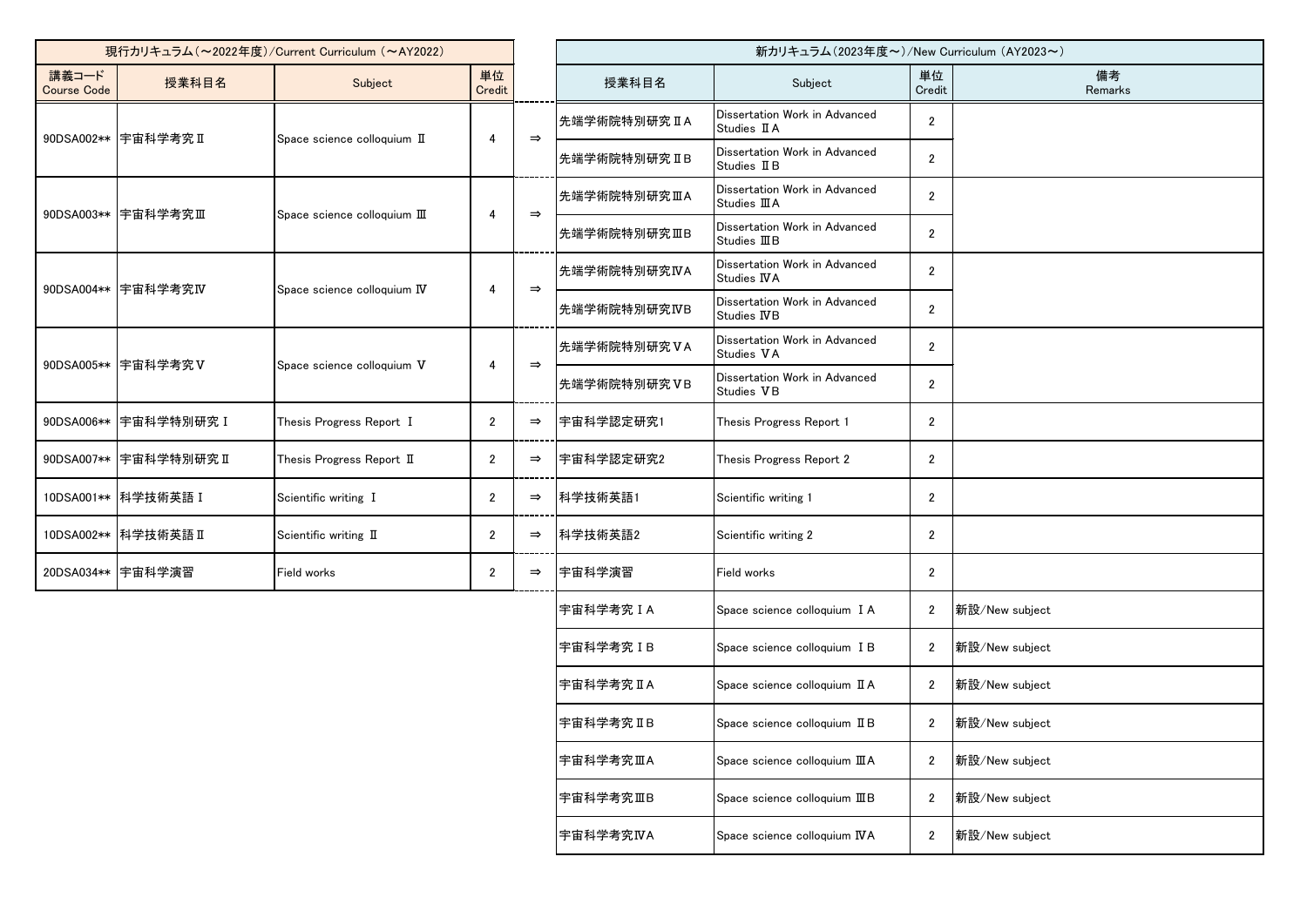| 現行カリキュラム (~2022年度)/Current Curriculum (~AY2022) |                                                    |                             |                |               |               | 新カリキュラム (2023年度~)/New Curriculum (AY2023~)     |                |                |
|-------------------------------------------------|----------------------------------------------------|-----------------------------|----------------|---------------|---------------|------------------------------------------------|----------------|----------------|
| 講義コード<br><b>Course Code</b>                     | 授業科目名                                              | Subject                     | 単位<br>Credit   |               | 授業科目名         | Subject                                        | 単位<br>Credit   | 備考<br>Remarks  |
| 90DSA002** 宇宙科学考究 II                            |                                                    | Space science colloquium II | 4              | $\Rightarrow$ | 先端学術院特別研究IA   | Dissertation Work in Advanced<br>Studies II A  | $\overline{2}$ |                |
|                                                 |                                                    |                             |                |               | 先端学術院特別研究 IIB | Dissertation Work in Advanced<br>Studies II B  | $\overline{2}$ |                |
|                                                 | 90DSA003** 宇宙科学考究Ⅲ<br>Space science colloquium III |                             | 4              | $\Rightarrow$ | 先端学術院特別研究ⅢA   | Dissertation Work in Advanced<br>Studies III A | $\overline{2}$ |                |
|                                                 |                                                    |                             |                |               | 先端学術院特別研究ⅢB   | Dissertation Work in Advanced<br>Studies IIIB  | $\overline{2}$ |                |
|                                                 | 90DSA004** 宇宙科学考究IV                                | Space science colloquium IV | 4              | $\Rightarrow$ | 先端学術院特別研究IVA  | Dissertation Work in Advanced<br>Studies IVA   | $\overline{2}$ |                |
|                                                 |                                                    |                             |                |               | 先端学術院特別研究IVB  | Dissertation Work in Advanced<br>Studies IVB   | $\overline{2}$ |                |
|                                                 | 90DSA005** 宇宙科学考究V                                 | Space science colloquium V  | 4              | $\Rightarrow$ | 先端学術院特別研究VA   | Dissertation Work in Advanced<br>Studies VA    | $\overline{2}$ |                |
|                                                 |                                                    |                             |                |               | 先端学術院特別研究VB   | Dissertation Work in Advanced<br>Studies VB    | $\overline{2}$ |                |
| 90DSA006**                                      | 宇宙科学特別研究 I                                         | Thesis Progress Report I    | $\overline{2}$ | $\Rightarrow$ | 宇宙科学認定研究1     | Thesis Progress Report 1                       | $\overline{2}$ |                |
|                                                 | 90DSA007** 宇宙科学特別研究 II                             | Thesis Progress Report II   | 2              | $\Rightarrow$ | 宇宙科学認定研究2     | Thesis Progress Report 2                       | $\overline{2}$ |                |
|                                                 | 10DSA001** 科学技術英語 I                                | Scientific writing I        | $\overline{2}$ | $\Rightarrow$ | 科学技術英語1       | Scientific writing 1                           | $\overline{2}$ |                |
|                                                 | 10DSA002** 科学技術英語 II                               | Scientific writing II       | 2              | $\Rightarrow$ | 科学技術英語2       | Scientific writing 2                           | $\overline{2}$ |                |
|                                                 | 20DSA034** 宇宙科学演習                                  | Field works                 | $\overline{2}$ | $\Rightarrow$ | 宇宙科学演習        | Field works                                    | $\overline{2}$ |                |
|                                                 |                                                    |                             |                |               | 宇宙科学考究IA      | Space science colloquium I A                   | $\overline{2}$ | 新設/New subject |
|                                                 |                                                    |                             |                |               | 宇宙科学考究 IB     | Space science colloquium I B                   | $\overline{2}$ | 新設/New subject |
|                                                 |                                                    |                             |                |               | 宇宙科学考究IA      | Space science colloquium II A                  | $\overline{2}$ | 新設/New subject |
|                                                 |                                                    |                             |                |               | 宇宙科学考究IIB     | Space science colloquium II B                  | $\overline{2}$ | 新設/New subject |
|                                                 |                                                    |                             |                |               | 宇宙科学考究ⅢA      | Space science colloquium III A                 | $\overline{2}$ | 新設/New subject |
|                                                 |                                                    |                             |                |               | 宇宙科学考究ⅢB      | Space science colloquium IIIB                  | $\overline{2}$ | 新設/New subject |
|                                                 |                                                    |                             |                |               | 宇宙科学考究IVA     | Space science colloquium IVA                   | $\overline{c}$ | 新設/New subject |